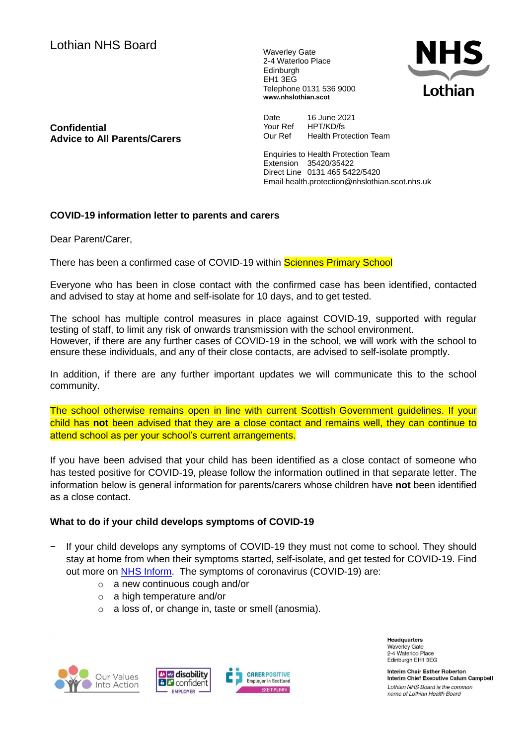Lothian NHS Board Waverley Gate

2-4 Waterloo Place **Edinburgh** EH1 3EG Telephone 0131 536 9000 **www.nhslothian.scot**



**Confidential Advice to All Parents/Carers** Date 16 June 2021<br>Your Ref HPT/KD/fs Your Ref Our Ref Health Protection Team

Enquiries to Health Protection Team Extension 35420/35422 Direct Line 0131 465 5422/5420 Email health.protection@nhslothian.scot.nhs.uk

# **COVID-19 information letter to parents and carers**

Dear Parent/Carer,

There has been a confirmed case of COVID-19 within Sciennes Primary School

Everyone who has been in close contact with the confirmed case has been identified, contacted and advised to stay at home and self-isolate for 10 days, and to get tested.

The school has multiple control measures in place against COVID-19, supported with regular testing of staff, to limit any risk of onwards transmission with the school environment. However, if there are any further cases of COVID-19 in the school, we will work with the school to ensure these individuals, and any of their close contacts, are advised to self-isolate promptly.

In addition, if there are any further important updates we will communicate this to the school community.

The school otherwise remains open in line with current Scottish Government guidelines. If your child has **not** been advised that they are a close contact and remains well, they can continue to attend school as per your school's current arrangements.

If you have been advised that your child has been identified as a close contact of someone who has tested positive for COVID-19, please follow the information outlined in that separate letter. The information below is general information for parents/carers whose children have **not** been identified as a close contact.

# **What to do if your child develops symptoms of COVID-19**

- If your child develops any symptoms of COVID-19 they must not come to school. They should stay at home from when their symptoms started, self-isolate, and get tested for COVID-19. Find out more on **NHS Inform**. The symptoms of coronavirus (COVID-19) are:
	- o a new continuous cough and/or
	- o a high temperature and/or
	- o a loss of, or change in, taste or smell (anosmia).







**Headquarters Waverley Gate** 2-4 Waterloo Place Edinburgh EH1 3EG

Interim Chair Esther Roberton Interim Chief Executive Calum Campbell Lothian NHS Board is the common name of Lothian Health Board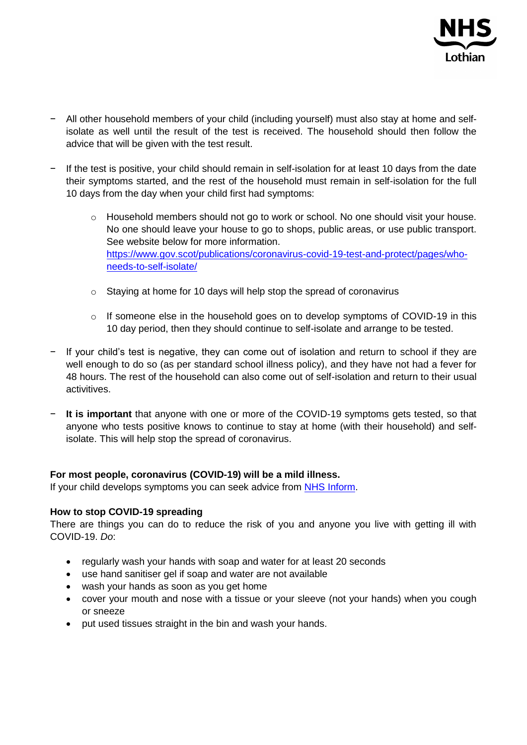

- − All other household members of your child (including yourself) must also stay at home and selfisolate as well until the result of the test is received. The household should then follow the advice that will be given with the test result.
- − If the test is positive, your child should remain in self-isolation for at least 10 days from the date their symptoms started, and the rest of the household must remain in self-isolation for the full 10 days from the day when your child first had symptoms:
	- o Household members should not go to work or school. No one should visit your house. No one should leave your house to go to shops, public areas, or use public transport. See website below for more information. [https://www.gov.scot/publications/coronavirus-covid-19-test-and-protect/pages/who](https://www.gov.scot/publications/coronavirus-covid-19-test-and-protect/pages/who-needs-to-self-isolate/)[needs-to-self-isolate/](https://www.gov.scot/publications/coronavirus-covid-19-test-and-protect/pages/who-needs-to-self-isolate/)
	- o Staying at home for 10 days will help stop the spread of coronavirus
	- o If someone else in the household goes on to develop symptoms of COVID-19 in this 10 day period, then they should continue to self-isolate and arrange to be tested.
- − If your child's test is negative, they can come out of isolation and return to school if they are well enough to do so (as per standard school illness policy), and they have not had a fever for 48 hours. The rest of the household can also come out of self-isolation and return to their usual activitives.
- − **It is important** that anyone with one or more of the COVID-19 symptoms gets tested, so that anyone who tests positive knows to continue to stay at home (with their household) and selfisolate. This will help stop the spread of coronavirus.

### **For most people, coronavirus (COVID-19) will be a mild illness.**

If your child develops symptoms you can seek advice from [NHS Inform.](https://www.nhsinform.scot/illnesses-and-conditions/infections-and-poisoning/coronavirus-covid-19/test-and-protect/coronavirus-covid-19-guidance-for-households-with-possible-coronavirus-infection)

### **How to stop COVID-19 spreading**

There are things you can do to reduce the risk of you and anyone you live with getting ill with COVID-19. *Do*:

- regularly wash your hands with soap and water for at least 20 seconds
- use hand sanitiser gel if soap and water are not available
- wash your hands as soon as you get home
- cover your mouth and nose with a tissue or your sleeve (not your hands) when you cough or sneeze
- put used tissues straight in the bin and wash your hands.